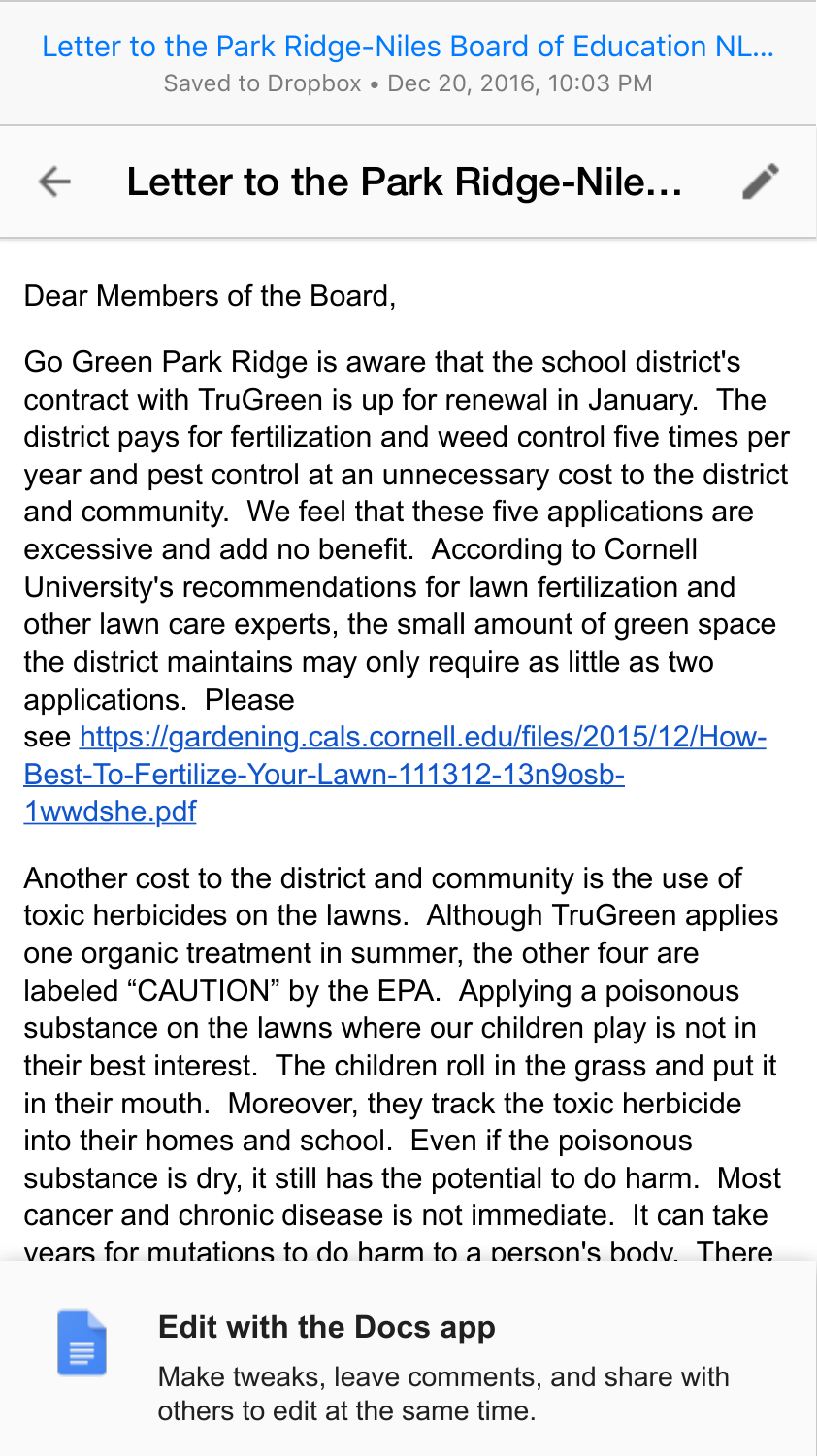[Letter to the Park Ridge-Niles Board of Education NL…](https://docs.google.com/document/d/1QScBy0zoroUh-5tFZYMdxGNt7P11S0lCy0mV0tAIOyA/mobilebasic)

Saved to Dropbox • Dec 20, 2016, 10:03 PM

i.<br>L

## $\leftarrow$ Letter to the Park Ridge-Nile…

Dear Members of the Board,

Go Green Park Ridge is aware that the school district's contract with TruGreen is up for renewal in January. The district pays for fertilization and weed control five times per year and pest control at an unnecessary cost to the district and community. We feel that these five applications are excessive and add no benefit. According to Cornell University's recommendations for lawn fertilization and other lawn care experts, the small amount of green space the district maintains may only require as little as two applications. Please se[e](https://www.google.com/url?q=https://www.google.com/url?q%3Dhttps://gardening.cals.cornell.edu/files/2015/12/How-Best-To-Fertilize-Your-Lawn-111312-13n9osb-1wwdshe.pdf%26amp;sa%3DD%26amp;ust%3D1482296597718000%26amp;usg%3DAFQjCNGssRZRGsRe8pBFKuks41-EOeNdIQ&sa=D&ust=1482296597742000&usg=AFQjCNGdHFoTdkTbqLG7rb4vq_JBkonPNA) [https://gardening.cals.cornell.edu/files/2015/12/How-](https://www.google.com/url?q=https://www.google.com/url?q%3Dhttps://gardening.cals.cornell.edu/files/2015/12/How-Best-To-Fertilize-Your-Lawn-111312-13n9osb-1wwdshe.pdf%26amp;sa%3DD%26amp;ust%3D1482296597719000%26amp;usg%3DAFQjCNGNHN-SsCe-tLpLMvk0fZXHjOAmLw&sa=D&ust=1482296597742000&usg=AFQjCNGOrbz88p-bLqqnJnPMjdW9dMKRuA)

Best-To-Fertilize-Your-Lawn-111312-13n9osb-1wwdshe.pdf

Another cost to the district and community is the use of toxic herbicides on the lawns. Although TruGreen applies one organic treatment in summer, the other four are labeled "CAUTION" by the EPA. Applying a poisonous substance on the lawns where our children play is not in their best interest. The children roll in the grass and put it in their mouth. Moreover, they track the toxic herbicide into their homes and school. Even if the poisonous substance is dry, it still has the potential to do harm. Most cancer and chronic disease is not immediate. It can take years for mutations to do harm to a person's body. There



## **Power to do good by our choose not to do good by choose not to do good and choose no**

 $\blacksquare$  Make tweaks, leave comments, and share with  $\frac{1}{2}$  is the same contract ends in  $\frac{1}{2}$ others to edit at the same time.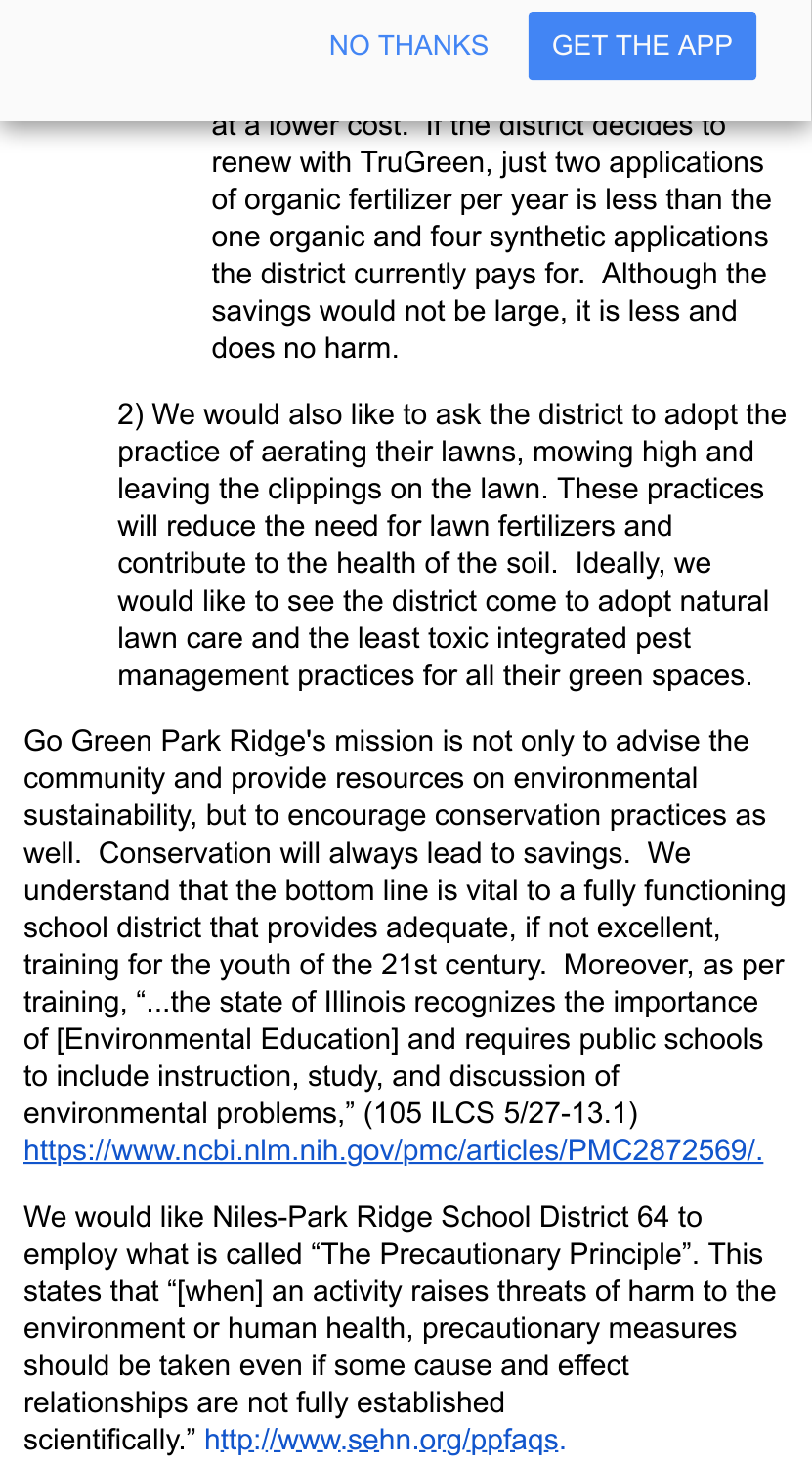at a lower cost. If the district decides to renew with TruGreen, just two applications of organic fertilizer per year is less than the one organic and four synthetic applications the district currently pays for. Although the savings would not be large, it is less and does no harm.

toxic lawn care and may offer the international may offer the services of the services of the services of the

2) We would also like to ask the district to adopt the practice of aerating their lawns, mowing high and leaving the clippings on the lawn. These practices will reduce the need for lawn fertilizers and contribute to the health of the soil. Ideally, we would like to see the district come to adopt natural lawn care and the least toxic integrated pest management practices for all their green spaces[.](https://www.google.com/url?q=https://www.google.com/url?q%3Dhttps://beyondpesticides.org/assets/media/documents/lawn/documents/OrganicFallLawn101.pdf%26amp;sa%3DD%26amp;ust%3D1482296597722000%26amp;usg%3DAFQjCNFfiajVRBMm7SlnNUWtnSze_QSr9g&sa=D&ust=1482296597743000&usg=AFQjCNGcKxnsx2nyA1e8Sw81d6SgeoJ5RQ)

Go Green Park Ridge's mission is not only to advise the community and provide resources on environmental sustainability, but to encourage conservation practices as well. Conservation will always lead to savings. We understand that the bottom line is vital to a fully functioning school district that provides adequate, if not excellent, training for the youth of the 21st century. Moreover, as per training, "...the state of Illinois recognizes the importance of [Environmental Education] and requires public schools to include instruction, study, and discussion of environmental problems," (105 ILCS 5/27-13.1) [https://www.ncbi.nlm.nih.gov/pmc/articles/PMC2872569/.](https://www.google.com/url?q=https://www.google.com/url?q%3Dhttps://www.ncbi.nlm.nih.gov/pmc/articles/PMC2872569/.%26amp;sa%3DD%26amp;ust%3D1482296597723000%26amp;usg%3DAFQjCNHPo0HmRgAOBpG09YnTmuah0sZGdg&sa=D&ust=1482296597743000&usg=AFQjCNGYFVUnbVaAl86TUsaAqpBZ9BzV4Q)

We would like Niles-Park Ridge School District 64 to employ what is called "The Precautionary Principle". This states that "[when] an activity raises threats of harm to the environment or human health, precautionary measures should be taken even if some cause and effect relationships are not fully established scientifically.["](https://www.google.com/url?q=https://www.google.com/url?q%3Dhttp://www.sehn.org/ppfaqs.html%26amp;sa%3DD%26amp;ust%3D1482296597725000%26amp;usg%3DAFQjCNFR9I-WdKSY_wYIKNBeopvhd8GvEw&sa=D&ust=1482296597743000&usg=AFQjCNE8oO7AUxcKGdTemo8iunH0PFTLVw) [http://www.sehn.org/ppfaqs](https://www.google.com/url?q=https://www.google.com/url?q%3Dhttp://www.sehn.org/ppfaqs%26amp;sa%3DD%26amp;ust%3D1482296597725000%26amp;usg%3DAFQjCNH3XoeVbl7TbyOt7Kcq7x4Y3u3xoQ&sa=D&ust=1482296597744000&usg=AFQjCNHuqJt8ISNkVraYUPMN43ehTe81fw)[.](https://www.google.com/url?q=https://www.google.com/url?q%3Dhttp://www.sehn.org/ppfaqs.html%26amp;sa%3DD%26amp;ust%3D1482296597725000%26amp;usg%3DAFQjCNFR9I-WdKSY_wYIKNBeopvhd8GvEw&sa=D&ust=1482296597744000&usg=AFQjCNEf5K5DMW2FXFyrAbY38SYfF9VenQ)